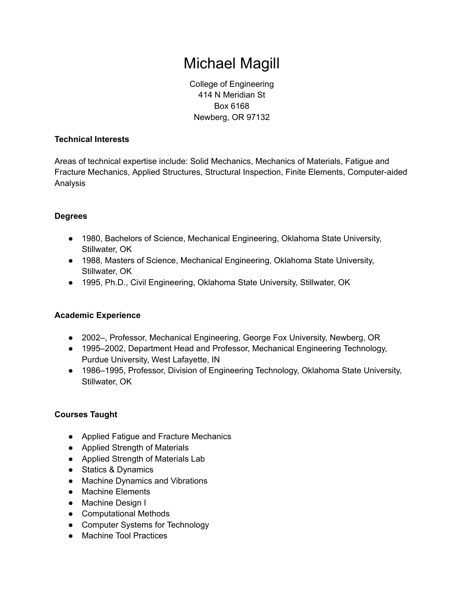# Michael Magill

College of Engineering 414 N Meridian St Box 6168 Newberg, OR 97132

## **Technical Interests**

Areas of technical expertise include: Solid Mechanics, Mechanics of Materials, Fatigue and Fracture Mechanics, Applied Structures, Structural Inspection, Finite Elements, Computer-aided Analysis

## **Degrees**

- 1980, Bachelors of Science, Mechanical Engineering, Oklahoma State University, Stillwater, OK
- 1988, Masters of Science, Mechanical Engineering, Oklahoma State University, Stillwater, OK
- 1995, Ph.D., Civil Engineering, Oklahoma State University, Stillwater, OK

## **Academic Experience**

- 2002–, Professor, Mechanical Engineering, George Fox University, Newberg, OR
- 1995–2002, Department Head and Professor, Mechanical Engineering Technology, Purdue University, West Lafayette, IN
- 1986–1995, Professor, Division of Engineering Technology, Oklahoma State University, Stillwater, OK

## **Courses Taught**

- Applied Fatigue and Fracture Mechanics
- Applied Strength of Materials
- Applied Strength of Materials Lab
- Statics & Dynamics
- Machine Dynamics and Vibrations
- Machine Elements
- Machine Design I
- Computational Methods
- Computer Systems for Technology
- Machine Tool Practices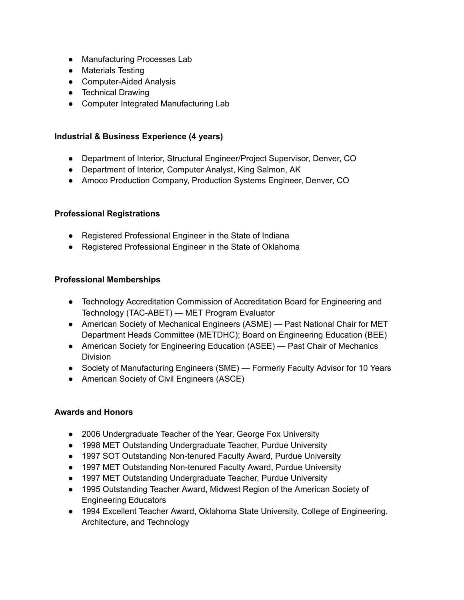- Manufacturing Processes Lab
- Materials Testing
- Computer-Aided Analysis
- Technical Drawing
- Computer Integrated Manufacturing Lab

#### **Industrial & Business Experience (4 years)**

- Department of Interior, Structural Engineer/Project Supervisor, Denver, CO
- Department of Interior, Computer Analyst, King Salmon, AK
- Amoco Production Company, Production Systems Engineer, Denver, CO

#### **Professional Registrations**

- Registered Professional Engineer in the State of Indiana
- Registered Professional Engineer in the State of Oklahoma

#### **Professional Memberships**

- Technology Accreditation Commission of Accreditation Board for Engineering and Technology (TAC-ABET) — MET Program Evaluator
- American Society of Mechanical Engineers (ASME) Past National Chair for MET Department Heads Committee (METDHC); Board on Engineering Education (BEE)
- American Society for Engineering Education (ASEE) Past Chair of Mechanics Division
- Society of Manufacturing Engineers (SME) Formerly Faculty Advisor for 10 Years
- American Society of Civil Engineers (ASCE)

## **Awards and Honors**

- 2006 Undergraduate Teacher of the Year, George Fox University
- 1998 MET Outstanding Undergraduate Teacher, Purdue University
- 1997 SOT Outstanding Non-tenured Faculty Award, Purdue University
- 1997 MET Outstanding Non-tenured Faculty Award, Purdue University
- 1997 MET Outstanding Undergraduate Teacher, Purdue University
- 1995 Outstanding Teacher Award, Midwest Region of the American Society of Engineering Educators
- 1994 Excellent Teacher Award, Oklahoma State University, College of Engineering, Architecture, and Technology